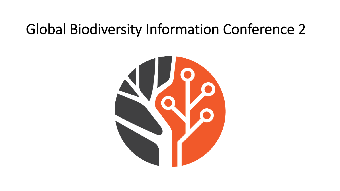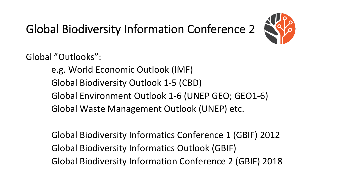

Global "Outlooks":

e.g. World Economic Outlook (IMF) Global Biodiversity Outlook 1-5 (CBD) Global Environment Outlook 1-6 (UNEP GEO; GEO1-6) Global Waste Management Outlook (UNEP) etc.

Global Biodiversity Informatics Conference 1 (GBIF) 2012 Global Biodiversity Informatics Outlook (GBIF) Global Biodiversity Information Conference 2 (GBIF) 2018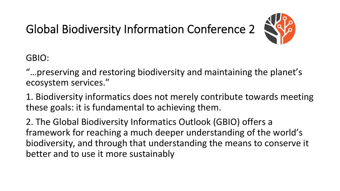

GBIO: 

"...preserving and restoring biodiversity and maintaining the planet's ecosystem services."

1. Biodiversity informatics does not merely contribute towards meeting these goals: it is fundamental to achieving them.

2. The Global Biodiversity Informatics Outlook (GBIO) offers a framework for reaching a much deeper understanding of the world's biodiversity, and through that understanding the means to conserve it better and to use it more sustainably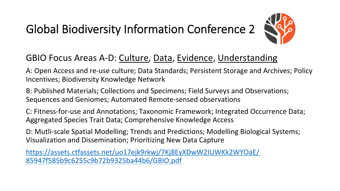

#### GBIO Focus Areas A-D: Culture, Data, Evidence, Understanding

A: Open Access and re-use culture; Data Standards; Persistent Storage and Archives; Policy Incentives; Biodiversity Knowledge Network

B: Published Materials; Collections and Specimens; Field Surveys and Observations; Sequences and Geniomes; Automated Remote-sensed observations

C: Fitness-for-use and Annotations; Taxonomic Framework; Integrated Occurrence Data; Aggregated Species Trait Data; Comprehensive Knowledge Access

D: Mutli-scale Spatial Modelling; Trends and Predictions; Modelling Biological Systems; Visualization and Dissemination; Prioritizing New Data Capture

https://assets.ctfassets.net/uo17ejk9rkwj/7Kj8EyXDwW2IUWKk2WYOaE/ 85947f585b9c6255c9b72b9325ba44b6/GBIO.pdf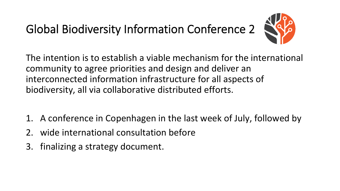

The intention is to establish a viable mechanism for the international community to agree priorities and design and deliver an interconnected information infrastructure for all aspects of biodiversity, all via collaborative distributed efforts.

- 1. A conference in Copenhagen in the last week of July, followed by
- 2. wide international consultation before
- 3. finalizing a strategy document.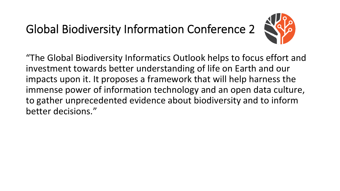

"The Global Biodiversity Informatics Outlook helps to focus effort and investment towards better understanding of life on Earth and our impacts upon it. It proposes a framework that will help harness the immense power of information technology and an open data culture, to gather unprecedented evidence about biodiversity and to inform better decisions."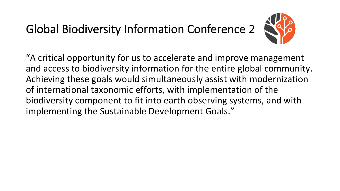

"A critical opportunity for us to accelerate and improve management and access to biodiversity information for the entire global community. Achieving these goals would simultaneously assist with modernization of international taxonomic efforts, with implementation of the biodiversity component to fit into earth observing systems, and with implementing the Sustainable Development Goals."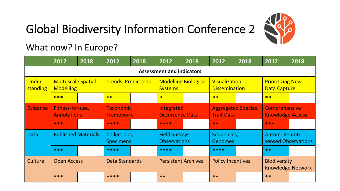

What now? In Europe?

|                                  | 2012                                           | 2018 | 2012                                 | 2018 | 2012                                          | 2018 | 2012                                           | 2018 | 2012                                            | 2018 |
|----------------------------------|------------------------------------------------|------|--------------------------------------|------|-----------------------------------------------|------|------------------------------------------------|------|-------------------------------------------------|------|
| <b>Assessment and indicators</b> |                                                |      |                                      |      |                                               |      |                                                |      |                                                 |      |
| <b>Under-</b><br>standing        | <b>Multi-scale Spatial</b><br><b>Modelling</b> |      | <b>Trends, Predictions</b>           |      | <b>Modelling Biological</b><br><b>Systems</b> |      | Visualization,<br><b>Dissemination</b>         |      | <b>Prioritizing New</b><br><b>Data Capture</b>  |      |
|                                  | ***                                            |      | **                                   |      | $\ast$                                        |      | $**$                                           |      | $**$                                            |      |
| <b>Evidence</b>                  | Fitness-for-use,<br><b>Annotations</b>         |      | <b>Taxonomic</b><br><b>Framework</b> |      | Integrated<br><b>Occurrence Data</b>          |      | <b>Aggregated Species</b><br><b>Trait Data</b> |      | <b>Comprehensive</b><br><b>Knowledge Access</b> |      |
|                                  | ***                                            |      | ****                                 |      | ****                                          |      | $**$                                           |      | ***                                             |      |
| <b>Data</b>                      | <b>Published Materials</b>                     |      | Collections,<br><b>Specimens</b>     |      | <b>Field Surveys,</b><br><b>Observations</b>  |      | Sequences,<br>Genomes                          |      | Autom. Remote-<br>sensed Observations           |      |
|                                  | ***                                            |      | ****                                 |      | ****                                          |      | ****                                           |      | $**$                                            |      |
| Culture                          | <b>Open Access</b>                             |      | Data Standards                       |      | <b>Persistent Archives</b>                    |      | <b>Policy Incentives</b>                       |      | <b>Biodiversity</b><br><b>Knowledge Network</b> |      |
|                                  | ***                                            |      | ****                                 |      | $**$                                          |      | $**$                                           |      | $**$                                            |      |